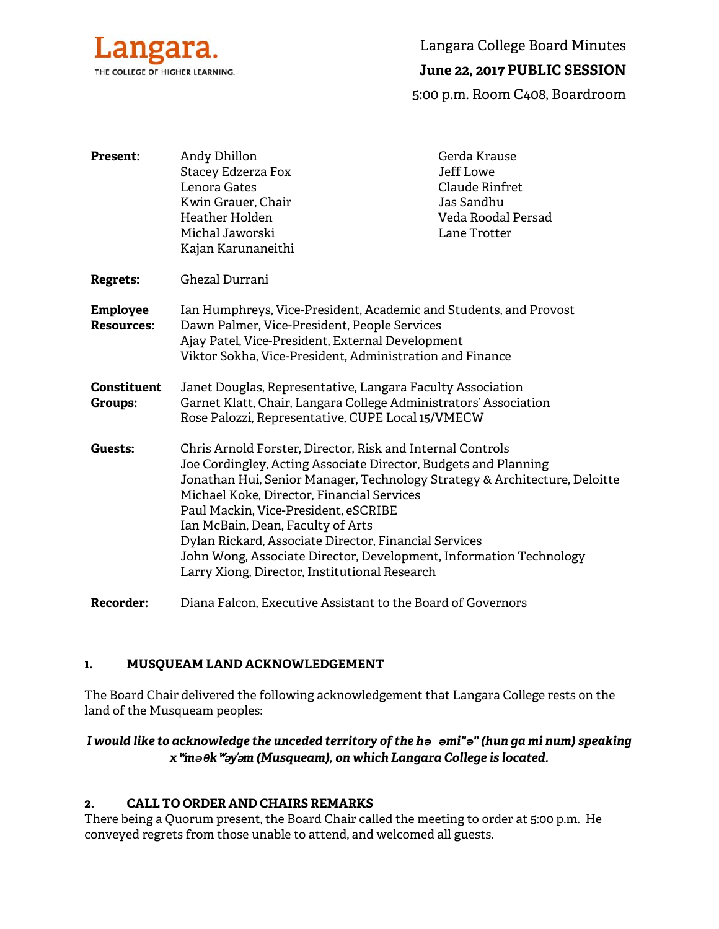

Langara College Board Minutes

# **June 22, 2017 PUBLIC SESSION**

5:00 p.m. Room C408, Boardroom

| <b>Present:</b>                      | Andy Dhillon                                                                                                                                                                                                                                                                                                                                                                                                                                                                                                           | Gerda Krause          |
|--------------------------------------|------------------------------------------------------------------------------------------------------------------------------------------------------------------------------------------------------------------------------------------------------------------------------------------------------------------------------------------------------------------------------------------------------------------------------------------------------------------------------------------------------------------------|-----------------------|
|                                      | Stacey Edzerza Fox                                                                                                                                                                                                                                                                                                                                                                                                                                                                                                     | Jeff Lowe             |
|                                      | Lenora Gates                                                                                                                                                                                                                                                                                                                                                                                                                                                                                                           | <b>Claude Rinfret</b> |
|                                      | Kwin Grauer, Chair                                                                                                                                                                                                                                                                                                                                                                                                                                                                                                     | Jas Sandhu            |
|                                      | Heather Holden                                                                                                                                                                                                                                                                                                                                                                                                                                                                                                         | Veda Roodal Persad    |
|                                      | Michal Jaworski                                                                                                                                                                                                                                                                                                                                                                                                                                                                                                        | Lane Trotter          |
|                                      | Kajan Karunaneithi                                                                                                                                                                                                                                                                                                                                                                                                                                                                                                     |                       |
| Regrets:                             | Ghezal Durrani                                                                                                                                                                                                                                                                                                                                                                                                                                                                                                         |                       |
| <b>Employee</b><br><b>Resources:</b> | Ian Humphreys, Vice-President, Academic and Students, and Provost<br>Dawn Palmer, Vice-President, People Services<br>Ajay Patel, Vice-President, External Development<br>Viktor Sokha, Vice-President, Administration and Finance                                                                                                                                                                                                                                                                                      |                       |
| <b>Constituent</b><br><b>Groups:</b> | Janet Douglas, Representative, Langara Faculty Association<br>Garnet Klatt, Chair, Langara College Administrators' Association<br>Rose Palozzi, Representative, CUPE Local 15/VMECW                                                                                                                                                                                                                                                                                                                                    |                       |
| Guests:                              | Chris Arnold Forster, Director, Risk and Internal Controls<br>Joe Cordingley, Acting Associate Director, Budgets and Planning<br>Jonathan Hui, Senior Manager, Technology Strategy & Architecture, Deloitte<br>Michael Koke, Director, Financial Services<br>Paul Mackin, Vice-President, eSCRIBE<br>Ian McBain, Dean, Faculty of Arts<br>Dylan Rickard, Associate Director, Financial Services<br>John Wong, Associate Director, Development, Information Technology<br>Larry Xiong, Director, Institutional Research |                       |
| <b>Recorder:</b>                     | Diana Falcon, Executive Assistant to the Board of Governors                                                                                                                                                                                                                                                                                                                                                                                                                                                            |                       |

### **1. MUSQUEAM LAND ACKNOWLEDGEMENT**

The Board Chair delivered the following acknowledgement that Langara College rests on the land of the Musqueam peoples:

### *I would like to acknowledge the unceded territory of the hə əmi"ə" (hun ga mi num) speaking x*ʷ*məθk*ʷə*y*̓ə*m (Musqueam), on which Langara College is located.*

### **2. CALL TO ORDER AND CHAIRS REMARKS**

There being a Quorum present, the Board Chair called the meeting to order at 5:00 p.m. He conveyed regrets from those unable to attend, and welcomed all guests.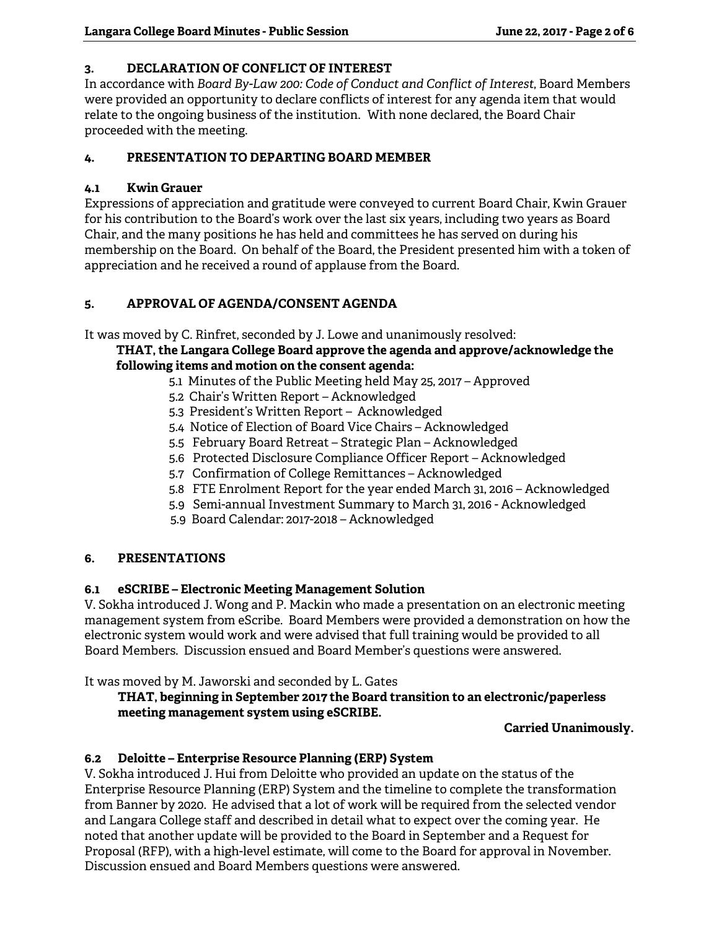### **3. DECLARATION OF CONFLICT OF INTEREST**

In accordance with *Board By-Law 200: Code of Conduct and Conflict of Interest*, Board Members were provided an opportunity to declare conflicts of interest for any agenda item that would relate to the ongoing business of the institution. With none declared, the Board Chair proceeded with the meeting.

### **4. PRESENTATION TO DEPARTING BOARD MEMBER**

### **4.1 Kwin Grauer**

Expressions of appreciation and gratitude were conveyed to current Board Chair, Kwin Grauer for his contribution to the Board's work over the last six years, including two years as Board Chair, and the many positions he has held and committees he has served on during his membership on the Board. On behalf of the Board, the President presented him with a token of appreciation and he received a round of applause from the Board.

### **5. APPROVAL OF AGENDA/CONSENT AGENDA**

It was moved by C. Rinfret, seconded by J. Lowe and unanimously resolved:

**THAT, the Langara College Board approve the agenda and approve/acknowledge the following items and motion on the consent agenda:** 

- 5.1 Minutes of the Public Meeting held May 25, 2017 Approved
	- 5.2 Chair's Written Report Acknowledged
	- 5.3 President's Written Report Acknowledged
	- 5.4 Notice of Election of Board Vice Chairs Acknowledged
	- 5.5 February Board Retreat Strategic Plan Acknowledged
	- 5.6 Protected Disclosure Compliance Officer Report Acknowledged
	- 5.7 Confirmation of College Remittances Acknowledged
	- 5.8 FTE Enrolment Report for the year ended March 31, 2016 Acknowledged
	- 5.9 Semi-annual Investment Summary to March 31, 2016 Acknowledged
	- 5.9 Board Calendar: 2017-2018 Acknowledged

### **6. PRESENTATIONS**

### **6.1 eSCRIBE – Electronic Meeting Management Solution**

V. Sokha introduced J. Wong and P. Mackin who made a presentation on an electronic meeting management system from eScribe. Board Members were provided a demonstration on how the electronic system would work and were advised that full training would be provided to all Board Members. Discussion ensued and Board Member's questions were answered.

It was moved by M. Jaworski and seconded by L. Gates

### **THAT, beginning in September 2017 the Board transition to an electronic/paperless meeting management system using eSCRIBE.**

**Carried Unanimously.** 

# **6.2 Deloitte – Enterprise Resource Planning (ERP) System**

V. Sokha introduced J. Hui from Deloitte who provided an update on the status of the Enterprise Resource Planning (ERP) System and the timeline to complete the transformation from Banner by 2020. He advised that a lot of work will be required from the selected vendor and Langara College staff and described in detail what to expect over the coming year. He noted that another update will be provided to the Board in September and a Request for Proposal (RFP), with a high-level estimate, will come to the Board for approval in November. Discussion ensued and Board Members questions were answered.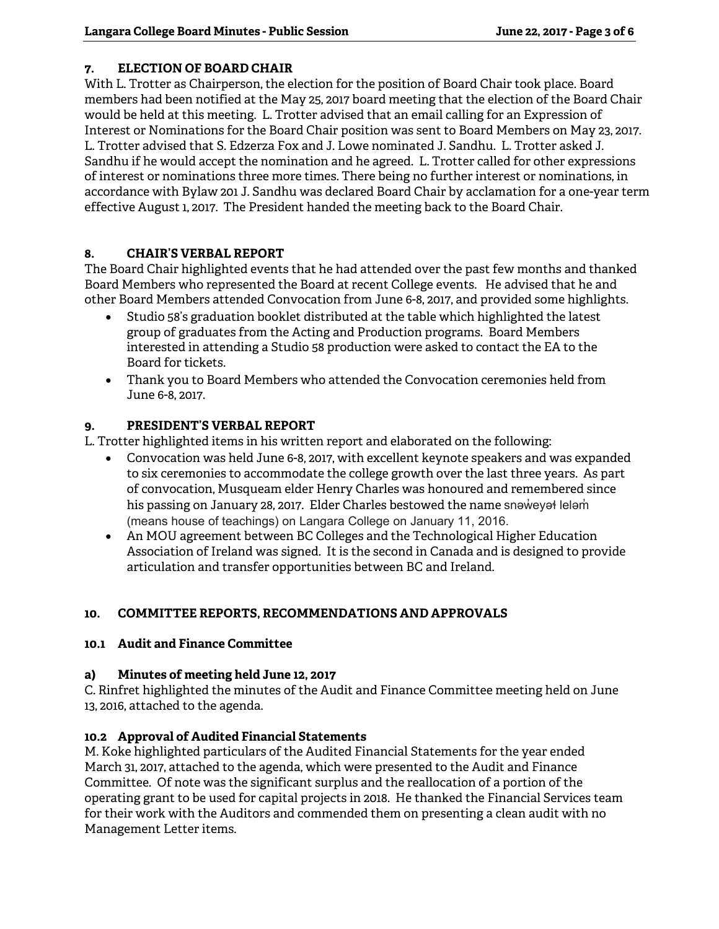### **7. ELECTION OF BOARD CHAIR**

With L. Trotter as Chairperson, the election for the position of Board Chair took place. Board members had been notified at the May 25, 2017 board meeting that the election of the Board Chair would be held at this meeting. L. Trotter advised that an email calling for an Expression of Interest or Nominations for the Board Chair position was sent to Board Members on May 23, 2017. L. Trotter advised that S. Edzerza Fox and J. Lowe nominated J. Sandhu. L. Trotter asked J. Sandhu if he would accept the nomination and he agreed. L. Trotter called for other expressions of interest or nominations three more times. There being no further interest or nominations, in accordance with Bylaw 201 J. Sandhu was declared Board Chair by acclamation for a one-year term effective August 1, 2017. The President handed the meeting back to the Board Chair.

### **8. CHAIR'S VERBAL REPORT**

The Board Chair highlighted events that he had attended over the past few months and thanked Board Members who represented the Board at recent College events. He advised that he and other Board Members attended Convocation from June 6-8, 2017, and provided some highlights.

- Studio 58's graduation booklet distributed at the table which highlighted the latest group of graduates from the Acting and Production programs. Board Members interested in attending a Studio 58 production were asked to contact the EA to the Board for tickets.
- Thank you to Board Members who attended the Convocation ceremonies held from June 6-8, 2017.

### **9. PRESIDENT'S VERBAL REPORT**

L. Trotter highlighted items in his written report and elaborated on the following:

- Convocation was held June 6-8, 2017, with excellent keynote speakers and was expanded to six ceremonies to accommodate the college growth over the last three years. As part of convocation, Musqueam elder Henry Charles was honoured and remembered since his passing on January 28, 2017. Elder Charles bestowed the name snəweyət leləm (means house of teachings) on Langara College on January 11, 2016.
- An MOU agreement between BC Colleges and the Technological Higher Education Association of Ireland was signed. It is the second in Canada and is designed to provide articulation and transfer opportunities between BC and Ireland.

# **10. COMMITTEE REPORTS, RECOMMENDATIONS AND APPROVALS**

### **10.1 Audit and Finance Committee**

### **a) Minutes of meeting held June 12, 2017**

C. Rinfret highlighted the minutes of the Audit and Finance Committee meeting held on June 13, 2016, attached to the agenda.

### **10.2 Approval of Audited Financial Statements**

M. Koke highlighted particulars of the Audited Financial Statements for the year ended March 31, 2017, attached to the agenda, which were presented to the Audit and Finance Committee. Of note was the significant surplus and the reallocation of a portion of the operating grant to be used for capital projects in 2018. He thanked the Financial Services team for their work with the Auditors and commended them on presenting a clean audit with no Management Letter items.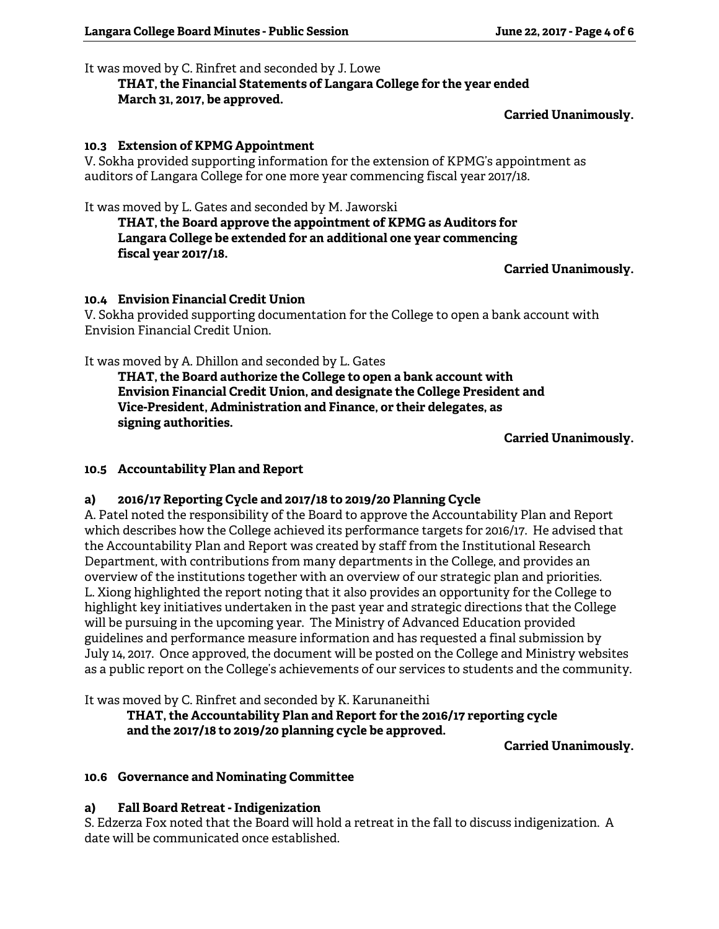#### It was moved by C. Rinfret and seconded by J. Lowe

# **THAT, the Financial Statements of Langara College for the year ended March 31, 2017, be approved.**

### **Carried Unanimously.**

### **10.3 Extension of KPMG Appointment**

V. Sokha provided supporting information for the extension of KPMG's appointment as auditors of Langara College for one more year commencing fiscal year 2017/18.

It was moved by L. Gates and seconded by M. Jaworski

**THAT, the Board approve the appointment of KPMG as Auditors for Langara College be extended for an additional one year commencing fiscal year 2017/18.** 

### **Carried Unanimously.**

### **10.4 Envision Financial Credit Union**

V. Sokha provided supporting documentation for the College to open a bank account with Envision Financial Credit Union.

It was moved by A. Dhillon and seconded by L. Gates

 **THAT, the Board authorize the College to open a bank account with Envision Financial Credit Union, and designate the College President and Vice-President, Administration and Finance, or their delegates, as signing authorities.** 

**Carried Unanimously.** 

### **10.5 Accountability Plan and Report**

# **a) 2016/17 Reporting Cycle and 2017/18 to 2019/20 Planning Cycle**

A. Patel noted the responsibility of the Board to approve the Accountability Plan and Report which describes how the College achieved its performance targets for 2016/17. He advised that the Accountability Plan and Report was created by staff from the Institutional Research Department, with contributions from many departments in the College, and provides an overview of the institutions together with an overview of our strategic plan and priorities. L. Xiong highlighted the report noting that it also provides an opportunity for the College to highlight key initiatives undertaken in the past year and strategic directions that the College will be pursuing in the upcoming year. The Ministry of Advanced Education provided guidelines and performance measure information and has requested a final submission by July 14, 2017. Once approved, the document will be posted on the College and Ministry websites as a public report on the College's achievements of our services to students and the community.

It was moved by C. Rinfret and seconded by K. Karunaneithi

 **THAT, the Accountability Plan and Report for the 2016/17 reporting cycle and the 2017/18 to 2019/20 planning cycle be approved.** 

**Carried Unanimously.** 

# **10.6 Governance and Nominating Committee**

# **a) Fall Board Retreat - Indigenization**

S. Edzerza Fox noted that the Board will hold a retreat in the fall to discuss indigenization. A date will be communicated once established.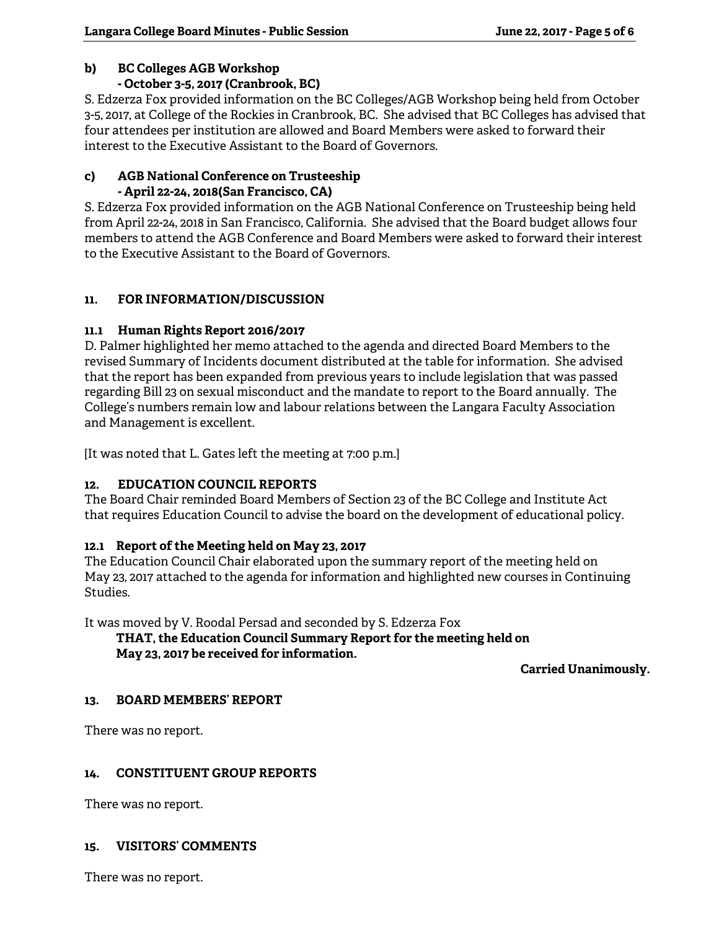# **b) BC Colleges AGB Workshop**

### **- October 3-5, 2017 (Cranbrook, BC)**

S. Edzerza Fox provided information on the BC Colleges/AGB Workshop being held from October 3-5, 2017, at College of the Rockies in Cranbrook, BC. She advised that BC Colleges has advised that four attendees per institution are allowed and Board Members were asked to forward their interest to the Executive Assistant to the Board of Governors.

#### **c) AGB National Conference on Trusteeship - April 22-24, 2018(San Francisco, CA)**

S. Edzerza Fox provided information on the AGB National Conference on Trusteeship being held from April 22-24, 2018 in San Francisco, California. She advised that the Board budget allows four members to attend the AGB Conference and Board Members were asked to forward their interest to the Executive Assistant to the Board of Governors.

# **11. FOR INFORMATION/DISCUSSION**

# **11.1 Human Rights Report 2016/2017**

D. Palmer highlighted her memo attached to the agenda and directed Board Members to the revised Summary of Incidents document distributed at the table for information. She advised that the report has been expanded from previous years to include legislation that was passed regarding Bill 23 on sexual misconduct and the mandate to report to the Board annually. The College's numbers remain low and labour relations between the Langara Faculty Association and Management is excellent.

[It was noted that L. Gates left the meeting at 7:00 p.m.]

# **12. EDUCATION COUNCIL REPORTS**

The Board Chair reminded Board Members of Section 23 of the BC College and Institute Act that requires Education Council to advise the board on the development of educational policy.

# **12.1 Report of the Meeting held on May 23, 2017**

The Education Council Chair elaborated upon the summary report of the meeting held on May 23, 2017 attached to the agenda for information and highlighted new courses in Continuing Studies.

It was moved by V. Roodal Persad and seconded by S. Edzerza Fox

 **THAT, the Education Council Summary Report for the meeting held on May 23, 2017 be received for information.** 

**Carried Unanimously.** 

# **13. BOARD MEMBERS' REPORT**

There was no report.

# **14. CONSTITUENT GROUP REPORTS**

There was no report.

### **15. VISITORS' COMMENTS**

There was no report.